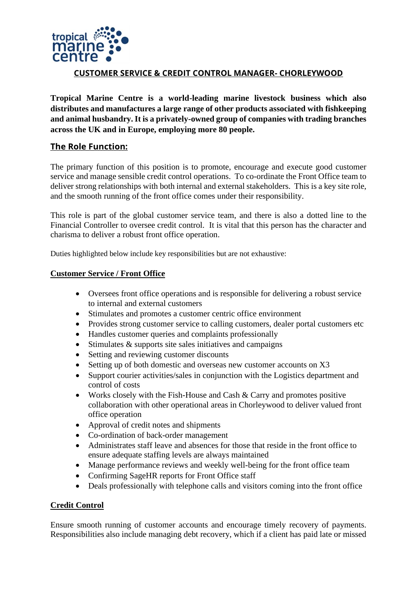

# **CUSTOMER SERVICE & CREDIT CONTROL MANAGER- CHORLEYWOOD**

**Tropical Marine Centre is a world-leading marine livestock business which also distributes and manufactures a large range of other products associated with fishkeeping and animal husbandry. It is a privately-owned group of companies with trading branches across the UK and in Europe, employing more 80 people.**

# **The Role Function:**

The primary function of this position is to promote, encourage and execute good customer service and manage sensible credit control operations. To co-ordinate the Front Office team to deliver strong relationships with both internal and external stakeholders. This is a key site role, and the smooth running of the front office comes under their responsibility.

This role is part of the global customer service team, and there is also a dotted line to the Financial Controller to oversee credit control. It is vital that this person has the character and charisma to deliver a robust front office operation.

Duties highlighted below include key responsibilities but are not exhaustive:

### **Customer Service / Front Office**

- Oversees front office operations and is responsible for delivering a robust service to internal and external customers
- Stimulates and promotes a customer centric office environment
- Provides strong customer service to calling customers, dealer portal customers etc
- Handles customer queries and complaints professionally
- Stimulates & supports site sales initiatives and campaigns
- Setting and reviewing customer discounts
- Setting up of both domestic and overseas new customer accounts on X3
- Support courier activities/sales in conjunction with the Logistics department and control of costs
- Works closely with the Fish-House and Cash & Carry and promotes positive collaboration with other operational areas in Chorleywood to deliver valued front office operation
- Approval of credit notes and shipments
- Co-ordination of back-order management
- Administrates staff leave and absences for those that reside in the front office to ensure adequate staffing levels are always maintained
- Manage performance reviews and weekly well-being for the front office team
- Confirming SageHR reports for Front Office staff
- Deals professionally with telephone calls and visitors coming into the front office

### **Credit Control**

Ensure smooth running of customer accounts and encourage timely recovery of payments. Responsibilities also include managing debt recovery, which if a client has paid late or missed